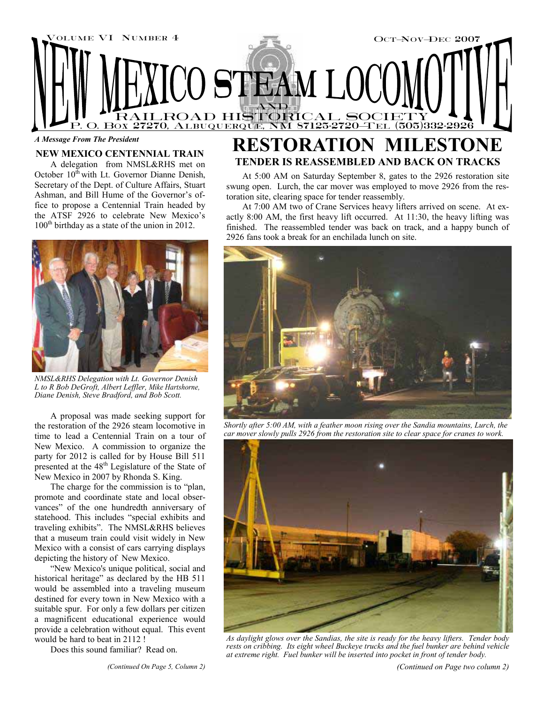

#### *A Message From The President*

## **NEW MEXICO CENTENNIAL TRAIN**

A delegation from NMSL&RHS met on October 10<sup>th</sup> with Lt. Governor Dianne Denish, Secretary of the Dept. of Culture Affairs, Stuart Ashman, and Bill Hume of the Governor's office to propose a Centennial Train headed by the ATSF 2926 to celebrate New Mexico's  $100<sup>th</sup>$  birthday as a state of the union in 2012.



*NMSL&RHS Delegation with Lt. Governor Denish L to R Bob DeGroft, Albert Leffler, Mike Hartshorne, Diane Denish, Steve Bradford, and Bob Scott.* 

A proposal was made seeking support for the restoration of the 2926 steam locomotive in time to lead a Centennial Train on a tour of New Mexico. A commission to organize the party for 2012 is called for by House Bill 511 presented at the 48th Legislature of the State of New Mexico in 2007 by Rhonda S. King.

The charge for the commission is to "plan, promote and coordinate state and local observances" of the one hundredth anniversary of statehood. This includes "special exhibits and traveling exhibits". The NMSL&RHS believes that a museum train could visit widely in New Mexico with a consist of cars carrying displays depicting the history of New Mexico.

"New Mexico's unique political, social and historical heritage" as declared by the HB 511 would be assembled into a traveling museum destined for every town in New Mexico with a suitable spur. For only a few dollars per citizen a magnificent educational experience would provide a celebration without equal. This event would be hard to beat in 2112 !

Does this sound familiar? Read on.

# **RESTORATION MILESTONE TENDER IS REASSEMBLED AND BACK ON TRACKS**

At 5:00 AM on Saturday September 8, gates to the 2926 restoration site swung open. Lurch, the car mover was employed to move 2926 from the restoration site, clearing space for tender reassembly.

At 7:00 AM two of Crane Services heavy lifters arrived on scene. At exactly 8:00 AM, the first heavy lift occurred. At 11:30, the heavy lifting was finished. The reassembled tender was back on track, and a happy bunch of 2926 fans took a break for an enchilada lunch on site.



*Shortly after 5:00 AM, with a feather moon rising over the Sandia mountains, Lurch, the car mover slowly pulls 2926 from the restoration site to clear space for cranes to work.* 



*As daylight glows over the Sandias, the site is ready for the heavy lifters. Tender body rests on cribbing. Its eight wheel Buckeye trucks and the fuel bunker are behind vehicle at extreme right. Fuel bunker will be inserted into pocket in front of tender body.*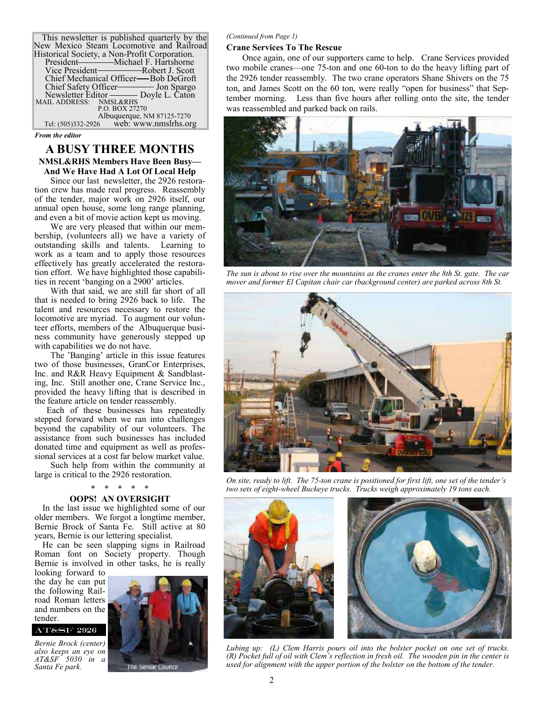This newsletter is published quarterly by the New Mexico Steam Locomotive and Railroad Historical Society, a Non-Profit Corporation. President — Michael F. Hartshorne<br>Vice President — Robert J. Scott -Robert J. Scott Chief Mechanical Officer—Bob DeGroft<br>Chief Safety Officer——— Jon Spargo Chief Safety Officer- Newsletter Editor Doyle L. Caton MAIL ADDRESS: NMSL&RHS<br>P.O. BOX 27270 Albuquerque, NM 87125-7270<br>Tel: (505)332-2926 web: www.nmslrhs.or web: www.nmslrhs.org

*From the editor* 

## **A BUSY THREE MONTHS NMSL&RHS Members Have Been Busy— And We Have Had A Lot Of Local Help**

Since our last newsletter, the 2926 restoration crew has made real progress. Reassembly of the tender, major work on 2926 itself, our annual open house, some long range planning, and even a bit of movie action kept us moving.

We are very pleased that within our membership, (volunteers all) we have a variety of outstanding skills and talents. Learning to work as a team and to apply those resources effectively has greatly accelerated the restoration effort. We have highlighted those capabilities in recent 'banging on a 2900' articles.

With that said, we are still far short of all that is needed to bring 2926 back to life. The talent and resources necessary to restore the locomotive are myriad. To augment our volunteer efforts, members of the Albuquerque business community have generously stepped up with capabilities we do not have.

The 'Banging' article in this issue features two of those businesses, GranCor Enterprises, Inc. and R&R Heavy Equipment & Sandblasting, Inc. Still another one, Crane Service Inc., provided the heavy lifting that is described in the feature article on tender reassembly.

Each of these businesses has repeatedly stepped forward when we ran into challenges beyond the capability of our volunteers. The assistance from such businesses has included donated time and equipment as well as professional services at a cost far below market value.

Such help from within the community at large is critical to the 2926 restoration.

## **OOPS! AN OVERSIGHT**

In the last issue we highlighted some of our older members. We forgot a longtime member, Bernie Brock of Santa Fe. Still active at 80 years, Bernie is our lettering specialist.

He can be seen slapping signs in Railroad Roman font on Society property. Though Bernie is involved in other tasks, he is really

looking forward to the day he can put the following Railroad Roman letters and numbers on the tender.

## AT&SF 2926

*Bernie Brock (center) also keeps an eye on AT&SF 5030 in a Santa Fe park.* 



# *(Continued from Page 1)*

## **Crane Services To The Rescue**

Once again, one of our supporters came to help. Crane Services provided two mobile cranes—one 75-ton and one 60-ton to do the heavy lifting part of the 2926 tender reassembly. The two crane operators Shane Shivers on the 75 ton, and James Scott on the 60 ton, were really "open for business" that September morning. Less than five hours after rolling onto the site, the tender was reassembled and parked back on rails.



*The sun is about to rise over the mountains as the cranes enter the 8th St. gate. The car mover and former El Capitan chair car (background center) are parked across 8th St.* 



*On site, ready to lift. The 75-ton crane is positioned for first lift, one set of the tender's two sets of eight-wheel Buckeye trucks. Trucks weigh approximately 19 tons each.* 





*Lubing up: (L) Clem Harris pours oil into the bolster pocket on one set of trucks. (R) Pocket full of oil with Clem's reflection in fresh oil. The wooden pin in the center is used for alignment with the upper portion of the bolster on the bottom of the tender.*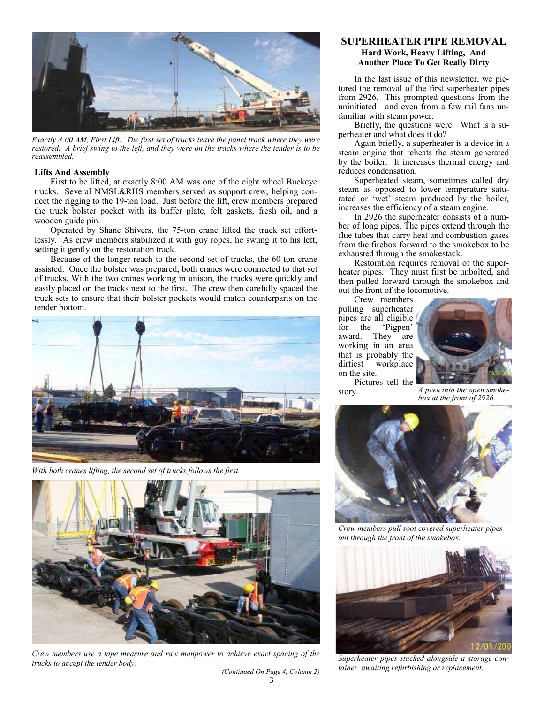

*Exactly 8:00 AM, First Lift: The first set of trucks leave the panel track where they were restored. A brief swing to the left, and they were on the tracks where the tender is to be reassembled.* 

#### **Lifts And Assembly**

First to be lifted, at exactly 8:00 AM was one of the eight wheel Buckeye trucks. Several NMSL&RHS members served as support crew, helping connect the rigging to the 19-ton load. Just before the lift, crew members prepared the truck bolster pocket with its buffer plate, felt gaskets, fresh oil, and a wooden guide pin.

Operated by Shane Shivers, the 75-ton crane lifted the truck set effortlessly. As crew members stabilized it with guy ropes, he swung it to his left, setting it gently on the restoration track.

Because of the longer reach to the second set of trucks, the 60-ton crane assisted. Once the bolster was prepared, both cranes were connected to that set of trucks. With the two cranes working in unison, the trucks were quickly and easily placed on the tracks next to the first. The crew then carefully spaced the truck sets to ensure that their bolster pockets would match counterparts on the tender bottom.



*With both cranes lifting, the second set of trucks follows the first.* 



*Crew members use a tape measure and raw manpower to achieve exact spacing of the trucks to accept the tender body.* 

**SUPERHEATER PIPE REMOVAL Hard Work, Heavy Lifting, And Another Place To Get Really Dirty** 

In the last issue of this newsletter, we pictured the removal of the first superheater pipes from 2926. This prompted questions from the uninitiated—and even from a few rail fans unfamiliar with steam power.

Briefly, the questions were: What is a superheater and what does it do?

Again briefly, a superheater is a device in a steam engine that reheats the steam generated by the boiler. It increases thermal energy and reduces condensation.

Superheated steam, sometimes called dry steam as opposed to lower temperature saturated or 'wet' steam produced by the boiler, increases the efficiency of a steam engine.

In 2926 the superheater consists of a number of long pipes. The pipes extend through the flue tubes that carry heat and combustion gases from the firebox forward to the smokebox to be exhausted through the smokestack.

Restoration requires removal of the superheater pipes. They must first be unbolted, and then pulled forward through the smokebox and out the front of the locomotive.

Crew members pulling superheater pipes are all eligible for the 'Pigpen' award. They are working in an area that is probably the dirtiest workplace on the site.



Pictures tell the

story. *A peek into the open smokebox at the front of 2926.* 



*Crew members pull soot covered superheater pipes out through the front of the smokebox.* 



*Superheater pipes stacked alongside a storage container, awaiting refurbishing or replacement.* 

3 *(Continued On Page 4, Column 2)*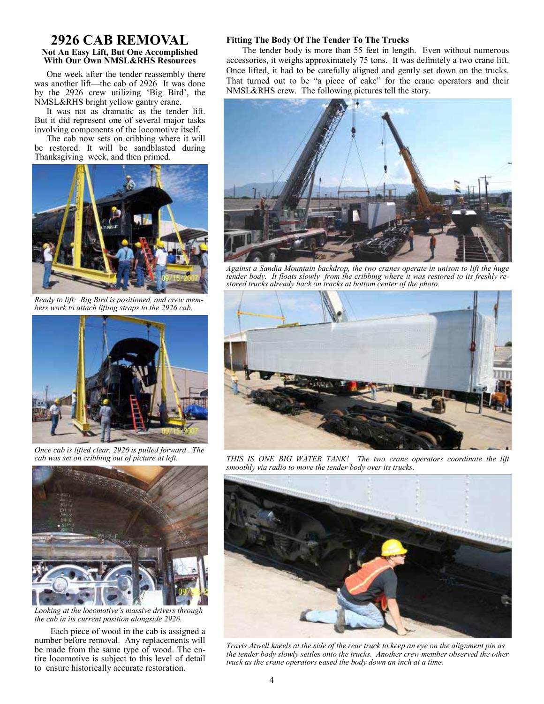## **2926 CAB REMOVAL Not An Easy Lift, But One Accomplished With Our Own NMSL&RHS Resources**

One week after the tender reassembly there was another lift—the cab of 2926 It was done by the 2926 crew utilizing 'Big Bird', the NMSL&RHS bright yellow gantry crane.

It was not as dramatic as the tender lift. But it did represent one of several major tasks involving components of the locomotive itself.

The cab now sets on cribbing where it will be restored. It will be sandblasted during Thanksgiving week, and then primed.



*Ready to lift: Big Bird is positioned, and crew members work to attach lifting straps to the 2926 cab.* 



*Once cab is lifted clear, 2926 is pulled forward . The cab was set on cribbing out of picture at left.* 



*Looking at the locomotive's massive drivers through the cab in its current position alongside 2926.* 

Each piece of wood in the cab is assigned a number before removal. Any replacements will be made from the same type of wood. The entire locomotive is subject to this level of detail to ensure historically accurate restoration.

#### **Fitting The Body Of The Tender To The Trucks**

The tender body is more than 55 feet in length. Even without numerous accessories, it weighs approximately 75 tons. It was definitely a two crane lift. Once lifted, it had to be carefully aligned and gently set down on the trucks. That turned out to be "a piece of cake" for the crane operators and their NMSL&RHS crew. The following pictures tell the story.



*Against a Sandia Mountain backdrop, the two cranes operate in unison to lift the huge tender body. It floats slowly from the cribbing where it was restored to its freshly restored trucks already back on tracks at bottom center of the photo.* 



*THIS IS ONE BIG WATER TANK! The two crane operators coordinate the lift smoothly via radio to move the tender body over its trucks.* 



*Travis Atwell kneels at the side of the rear truck to keep an eye on the alignment pin as the tender body slowly settles onto the trucks. Another crew member observed the other truck as the crane operators eased the body down an inch at a time.*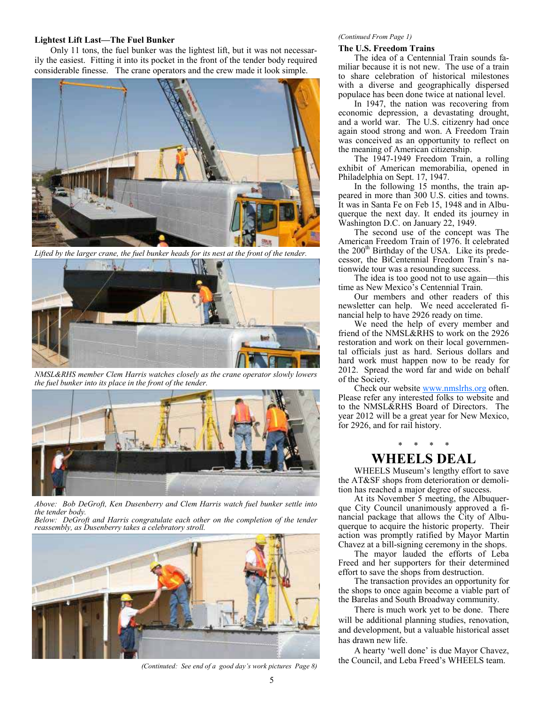#### **Lightest Lift Last—The Fuel Bunker**

Only 11 tons, the fuel bunker was the lightest lift, but it was not necessarily the easiest. Fitting it into its pocket in the front of the tender body required considerable finesse. The crane operators and the crew made it look simple.



*Lifted by the larger crane, the fuel bunker heads for its nest at the front of the tender.* 



*NMSL&RHS member Clem Harris watches closely as the crane operator slowly lowers the fuel bunker into its place in the front of the tender.* 



*Above: Bob DeGroft, Ken Dusenberry and Clem Harris watch fuel bunker settle into the tender body.* 

*Below: DeGroft and Harris congratulate each other on the completion of the tender reassembly, as Dusenberry takes a celebratory stroll.* 



*(Continuted: See end of a good day's work pictures Page 8)* 

#### *(Continued From Page 1)*

#### **The U.S. Freedom Trains**

The idea of a Centennial Train sounds familiar because it is not new. The use of a train to share celebration of historical milestones with a diverse and geographically dispersed populace has been done twice at national level.

In 1947, the nation was recovering from economic depression, a devastating drought, and a world war. The U.S. citizenry had once again stood strong and won. A Freedom Train was conceived as an opportunity to reflect on the meaning of American citizenship.

The 1947-1949 Freedom Train, a rolling exhibit of American memorabilia, opened in Philadelphia on Sept. 17, 1947.

In the following 15 months, the train appeared in more than 300 U.S. cities and towns. It was in Santa Fe on Feb 15, 1948 and in Albuquerque the next day. It ended its journey in Washington D.C. on January 22, 1949.

The second use of the concept was The American Freedom Train of 1976. It celebrated the  $200<sup>th</sup>$  Birthday of the USA. Like its predecessor, the BiCentennial Freedom Train's nationwide tour was a resounding success.

The idea is too good not to use again—this time as New Mexico's Centennial Train.

Our members and other readers of this newsletter can help. We need accelerated financial help to have 2926 ready on time.

We need the help of every member and friend of the NMSL&RHS to work on the 2926 restoration and work on their local governmental officials just as hard. Serious dollars and hard work must happen now to be ready for 2012. Spread the word far and wide on behalf of the Society.

Check our website www.nmslrhs.org often. Please refer any interested folks to website and to the NMSL&RHS Board of Directors. The year 2012 will be a great year for New Mexico, for 2926, and for rail history.

## \* \* \* \* **WHEELS DEAL**

WHEELS Museum's lengthy effort to save the AT&SF shops from deterioration or demolition has reached a major degree of success.

At its November 5 meeting, the Albuquerque City Council unanimously approved a financial package that allows the City of Albuquerque to acquire the historic property. Their action was promptly ratified by Mayor Martin Chavez at a bill-signing ceremony in the shops.

The mayor lauded the efforts of Leba Freed and her supporters for their determined effort to save the shops from destruction.

The transaction provides an opportunity for the shops to once again become a viable part of the Barelas and South Broadway community.

There is much work yet to be done. There will be additional planning studies, renovation, and development, but a valuable historical asset has drawn new life.

A hearty 'well done' is due Mayor Chavez, the Council, and Leba Freed's WHEELS team.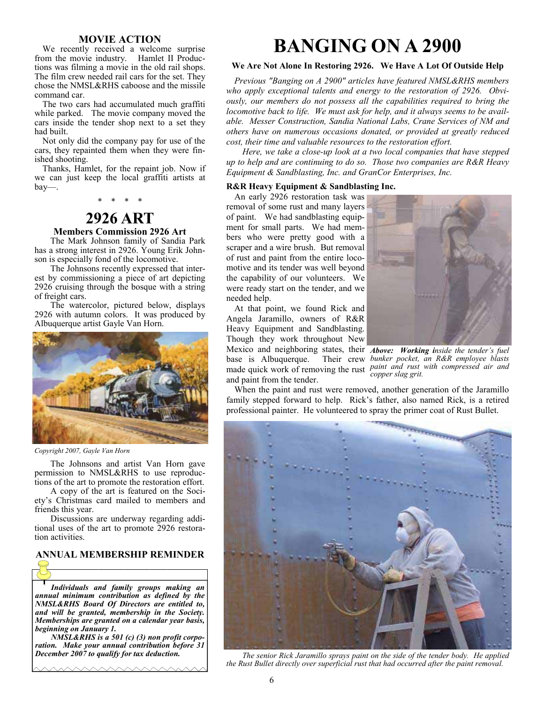### **MOVIE ACTION**

We recently received a welcome surprise from the movie industry. Hamlet II Productions was filming a movie in the old rail shops. The film crew needed rail cars for the set. They chose the NMSL&RHS caboose and the missile command car.

The two cars had accumulated much graffiti while parked. The movie company moved the cars inside the tender shop next to a set they had built.

Not only did the company pay for use of the cars, they repainted them when they were finished shooting.

Thanks, Hamlet, for the repaint job. Now if we can just keep the local graffiti artists at bay—.

\* \* \* \*

# **2926 ART**

## **Members Commission 2926 Art**

The Mark Johnson family of Sandia Park has a strong interest in 2926. Young Erik Johnson is especially fond of the locomotive.

The Johnsons recently expressed that interest by commissioning a piece of art depicting 2926 cruising through the bosque with a string of freight cars.

The watercolor, pictured below, displays 2926 with autumn colors. It was produced by Albuquerque artist Gayle Van Horn.



*Copyright 2007, Gayle Van Horn* 

The Johnsons and artist Van Horn gave permission to NMSL&RHS to use reproductions of the art to promote the restoration effort.

A copy of the art is featured on the Society's Christmas card mailed to members and friends this year.

Discussions are underway regarding additional uses of the art to promote 2926 restoration activities.

# **ANNUAL MEMBERSHIP REMINDER**

*Individuals and family groups making an annual minimum contribution as defined by the NMSL&RHS Board Of Directors are entitled to, and will be granted, membership in the Society. Memberships are granted on a calendar year basis, beginning on January 1.* 

*NMSL&RHS is a 501 (c) (3) non profit corporation. Make your annual contribution before 31 December 2007 to qualify for tax deduction.* 

<u>MMMMMMMMM</u>

# **BANGING ON A 2900**

#### **We Are Not Alone In Restoring 2926. We Have A Lot Of Outside Help**

*Previous "Banging on A 2900" articles have featured NMSL&RHS members who apply exceptional talents and energy to the restoration of 2926. Obviously, our members do not possess all the capabilities required to bring the locomotive back to life. We must ask for help, and it always seems to be available. Messer Construction, Sandia National Labs, Crane Services of NM and others have on numerous occasions donated, or provided at greatly reduced cost, their time and valuable resources to the restoration effort.* 

*Here, we take a close-up look at a two local companies that have stepped up to help and are continuing to do so. Those two companies are R&R Heavy Equipment & Sandblasting, Inc. and GranCor Enterprises, Inc.* 

#### **R&R Heavy Equipment & Sandblasting Inc.**

An early 2926 restoration task was removal of some rust and many layers of paint. We had sandblasting equipment for small parts. We had members who were pretty good with a scraper and a wire brush. But removal of rust and paint from the entire locomotive and its tender was well beyond the capability of our volunteers. We were ready start on the tender, and we needed help.

At that point, we found Rick and Angela Jaramillo, owners of R&R Heavy Equipment and Sandblasting. Though they work throughout New Mexico and neighboring states, their *Above: Working inside the tender's fuel*  base is Albuquerque. Their crew made quick work of removing the rust *paint and rust with compressed air and*  and paint from the tender.



*bunker pocket, an R&R employee blasts copper slag grit.* 

When the paint and rust were removed, another generation of the Jaramillo family stepped forward to help. Rick's father, also named Rick, is a retired professional painter. He volunteered to spray the primer coat of Rust Bullet.



*The senior Rick Jaramillo sprays paint on the side of the tender body. He applied the Rust Bullet directly over superficial rust that had occurred after the paint removal.*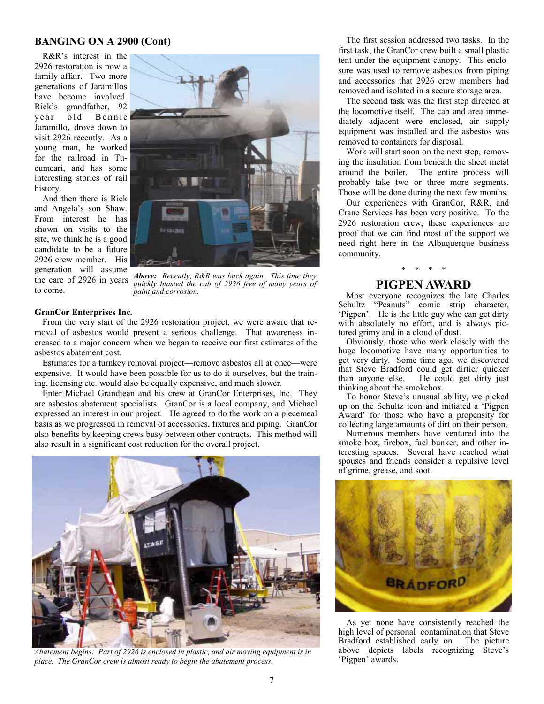## **BANGING ON A 2900 (Cont)**

R&R's interest in the 2926 restoration is now a family affair. Two more generations of Jaramillos have become involved. Rick's grandfather, 92 year old Bennie Jaramillo**,** drove down to visit 2926 recently. As a young man, he worked for the railroad in Tucumcari, and has some interesting stories of rail history.

And then there is Rick and Angela's son Shaw. From interest he has shown on visits to the site, we think he is a good candidate to be a future 2926 crew member. His generation will assume to come.



the care of 2926 in years *Above: Recently, R&R was back again. This time they quickly blasted the cab of 2926 free of many years of paint and corrosion.* 

#### **GranCor Enterprises Inc.**

From the very start of the 2926 restoration project, we were aware that removal of asbestos would present a serious challenge. That awareness increased to a major concern when we began to receive our first estimates of the asbestos abatement cost.

Estimates for a turnkey removal project—remove asbestos all at once—were expensive. It would have been possible for us to do it ourselves, but the training, licensing etc. would also be equally expensive, and much slower.

Enter Michael Grandjean and his crew at GranCor Enterprises, Inc. They are asbestos abatement specialists. GranCor is a local company, and Michael expressed an interest in our project. He agreed to do the work on a piecemeal basis as we progressed in removal of accessories, fixtures and piping. GranCor also benefits by keeping crews busy between other contracts. This method will also result in a significant cost reduction for the overall project.



Abatement begins: Part of 2926 is enclosed in plastic, and air moving equipment is in *place. The GranCor crew is almost ready to begin the abatement process.* 

The first session addressed two tasks. In the first task, the GranCor crew built a small plastic tent under the equipment canopy. This enclosure was used to remove asbestos from piping and accessories that 2926 crew members had removed and isolated in a secure storage area.

The second task was the first step directed at the locomotive itself. The cab and area immediately adjacent were enclosed, air supply equipment was installed and the asbestos was removed to containers for disposal.

Work will start soon on the next step, removing the insulation from beneath the sheet metal around the boiler. The entire process will probably take two or three more segments. Those will be done during the next few months.

Our experiences with GranCor, R&R, and Crane Services has been very positive. To the 2926 restoration crew, these experiences are proof that we can find most of the support we need right here in the Albuquerque business community.

# \* \* \* \*

## **PIGPEN AWARD**

Most everyone recognizes the late Charles Schultz "Peanuts" comic strip character, 'Pigpen'. He is the little guy who can get dirty with absolutely no effort, and is always pictured grimy and in a cloud of dust.

Obviously, those who work closely with the huge locomotive have many opportunities to get very dirty. Some time ago, we discovered that Steve Bradford could get dirtier quicker than anyone else. He could get dirty just thinking about the smokebox.

To honor Steve's unusual ability, we picked up on the Schultz icon and initiated a 'Pigpen Award' for those who have a propensity for collecting large amounts of dirt on their person.

Numerous members have ventured into the smoke box, firebox, fuel bunker, and other interesting spaces. Several have reached what spouses and friends consider a repulsive level of grime, grease, and soot.



As yet none have consistently reached the high level of personal contamination that Steve Bradford established early on. The picture above depicts labels recognizing Steve's